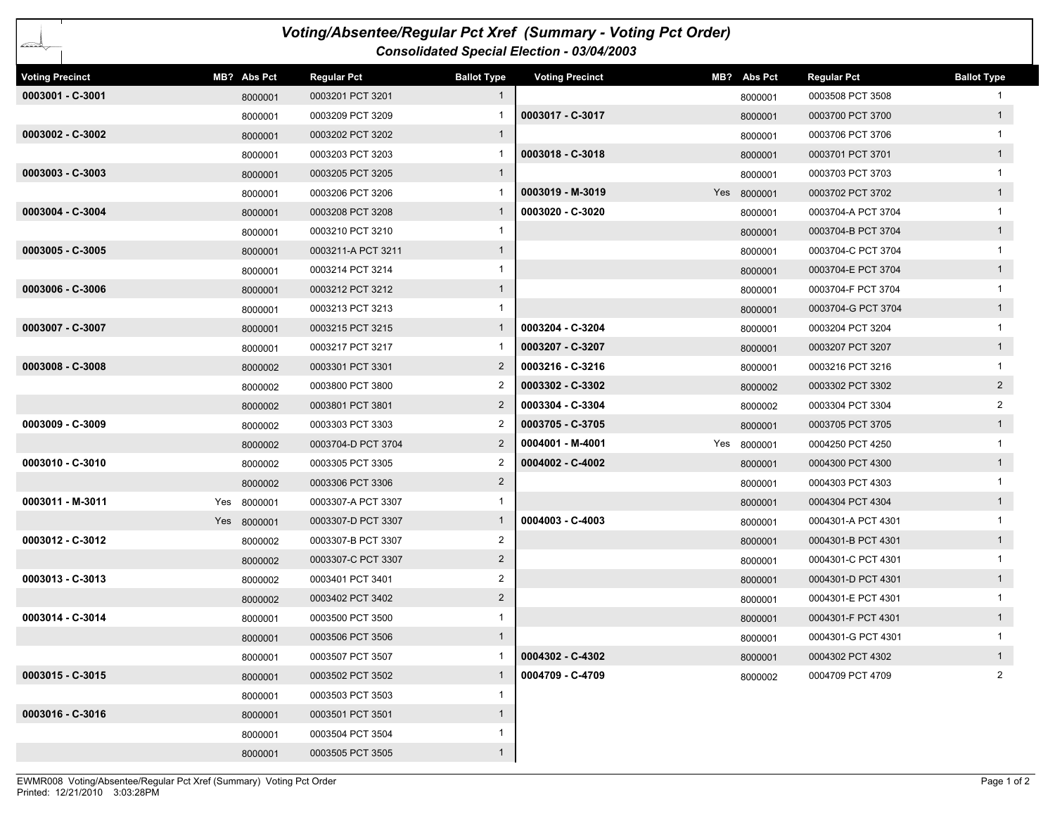| Voting/Absentee/Regular Pct Xref (Summary - Voting Pct Order) |             |         |                    |                    |                        |  |             |                    |                    |  |  |
|---------------------------------------------------------------|-------------|---------|--------------------|--------------------|------------------------|--|-------------|--------------------|--------------------|--|--|
| ∠≈≈≥<br><b>Consolidated Special Election - 03/04/2003</b>     |             |         |                    |                    |                        |  |             |                    |                    |  |  |
| <b>Voting Precinct</b>                                        | MB? Abs Pct |         | <b>Regular Pct</b> | <b>Ballot Type</b> | <b>Voting Precinct</b> |  | MB? Abs Pct | <b>Regular Pct</b> | <b>Ballot Type</b> |  |  |
| 0003001 - C-3001                                              |             | 8000001 | 0003201 PCT 3201   | $\mathbf{1}$       |                        |  | 8000001     | 0003508 PCT 3508   |                    |  |  |
|                                                               |             | 8000001 | 0003209 PCT 3209   |                    | 0003017 - C-3017       |  | 8000001     | 0003700 PCT 3700   | 1                  |  |  |
| 0003002 - C-3002                                              |             | 8000001 | 0003202 PCT 3202   | $\mathbf{1}$       |                        |  | 8000001     | 0003706 PCT 3706   |                    |  |  |
|                                                               |             | 8000001 | 0003203 PCT 3203   |                    | 0003018 - C-3018       |  | 8000001     | 0003701 PCT 3701   | 1                  |  |  |
| 0003003 - C-3003                                              |             | 8000001 | 0003205 PCT 3205   | $\mathbf{1}$       |                        |  | 8000001     | 0003703 PCT 3703   | 1                  |  |  |
|                                                               |             | 8000001 | 0003206 PCT 3206   | -1                 | 0003019 - M-3019       |  | Yes 8000001 | 0003702 PCT 3702   | 1                  |  |  |
| 0003004 - C-3004                                              |             | 8000001 | 0003208 PCT 3208   | 1                  | 0003020 - C-3020       |  | 8000001     | 0003704-A PCT 3704 |                    |  |  |
|                                                               |             | 8000001 | 0003210 PCT 3210   | 1                  |                        |  | 8000001     | 0003704-B PCT 3704 | 1                  |  |  |
| 0003005 - C-3005                                              |             | 8000001 | 0003211-A PCT 3211 | $\mathbf{1}$       |                        |  | 8000001     | 0003704-C PCT 3704 | 1                  |  |  |
|                                                               |             | 8000001 | 0003214 PCT 3214   | 1                  |                        |  | 8000001     | 0003704-E PCT 3704 | 1                  |  |  |
| 0003006 - C-3006                                              |             | 8000001 | 0003212 PCT 3212   | $\mathbf{1}$       |                        |  | 8000001     | 0003704-F PCT 3704 | $\mathbf{1}$       |  |  |
|                                                               |             | 8000001 | 0003213 PCT 3213   | 1                  |                        |  | 8000001     | 0003704-G PCT 3704 | 1                  |  |  |
| 0003007 - C-3007                                              |             | 8000001 | 0003215 PCT 3215   | $\mathbf{1}$       | 0003204 - C-3204       |  | 8000001     | 0003204 PCT 3204   | 1                  |  |  |
|                                                               |             | 8000001 | 0003217 PCT 3217   |                    | 0003207 - C-3207       |  | 8000001     | 0003207 PCT 3207   | 1                  |  |  |
| 0003008 - C-3008                                              |             | 8000002 | 0003301 PCT 3301   | $\overline{2}$     | 0003216 - C-3216       |  | 8000001     | 0003216 PCT 3216   | $\mathbf{1}$       |  |  |
|                                                               |             | 8000002 | 0003800 PCT 3800   | 2                  | 0003302 - C-3302       |  | 8000002     | 0003302 PCT 3302   | $2^{\circ}$        |  |  |
|                                                               |             | 8000002 | 0003801 PCT 3801   | $\overline{2}$     | 0003304 - C-3304       |  | 8000002     | 0003304 PCT 3304   | $\overline{2}$     |  |  |
| 0003009 - C-3009                                              |             | 8000002 | 0003303 PCT 3303   | 2                  | 0003705 - C-3705       |  | 8000001     | 0003705 PCT 3705   | 1                  |  |  |
|                                                               |             | 8000002 | 0003704-D PCT 3704 | $\overline{2}$     | 0004001 - M-4001       |  | Yes 8000001 | 0004250 PCT 4250   |                    |  |  |
| 0003010 - C-3010                                              |             | 8000002 | 0003305 PCT 3305   | 2                  | 0004002 - C-4002       |  | 8000001     | 0004300 PCT 4300   | 1                  |  |  |
|                                                               |             | 8000002 | 0003306 PCT 3306   | $\overline{2}$     |                        |  | 8000001     | 0004303 PCT 4303   |                    |  |  |
| 0003011 - M-3011                                              | Yes 8000001 |         | 0003307-A PCT 3307 | 1                  |                        |  | 8000001     | 0004304 PCT 4304   | 1                  |  |  |
|                                                               | Yes 8000001 |         | 0003307-D PCT 3307 | $\mathbf{1}$       | 0004003 - C-4003       |  | 8000001     | 0004301-A PCT 4301 | $\mathbf{1}$       |  |  |
| $0003012 - C-3012$                                            |             | 8000002 | 0003307-B PCT 3307 | $\overline{2}$     |                        |  | 8000001     | 0004301-B PCT 4301 | 1                  |  |  |
|                                                               |             | 8000002 | 0003307-C PCT 3307 | $\overline{2}$     |                        |  | 8000001     | 0004301-C PCT 4301 | $\mathbf{1}$       |  |  |
| 0003013 - C-3013                                              |             | 8000002 | 0003401 PCT 3401   | 2                  |                        |  | 8000001     | 0004301-D PCT 4301 | 1                  |  |  |
|                                                               |             | 8000002 | 0003402 PCT 3402   | $\overline{c}$     |                        |  | 8000001     | 0004301-E PCT 4301 | 1                  |  |  |
| 0003014 - C-3014                                              |             | 8000001 | 0003500 PCT 3500   | 1                  |                        |  | 8000001     | 0004301-F PCT 4301 | 1                  |  |  |
|                                                               |             | 8000001 | 0003506 PCT 3506   | $\mathbf{1}$       |                        |  | 8000001     | 0004301-G PCT 4301 | $\mathbf{1}$       |  |  |
|                                                               |             | 8000001 | 0003507 PCT 3507   | -1                 | 0004302 - C-4302       |  | 8000001     | 0004302 PCT 4302   | 1                  |  |  |
| 0003015 - C-3015                                              |             | 8000001 | 0003502 PCT 3502   | $\mathbf{1}$       | 0004709 - C-4709       |  | 8000002     | 0004709 PCT 4709   | $\overline{2}$     |  |  |
|                                                               |             | 8000001 | 0003503 PCT 3503   | 1                  |                        |  |             |                    |                    |  |  |
| 0003016 - C-3016                                              |             | 8000001 | 0003501 PCT 3501   | $\mathbf{1}$       |                        |  |             |                    |                    |  |  |
|                                                               |             | 8000001 | 0003504 PCT 3504   | $\mathbf{1}$       |                        |  |             |                    |                    |  |  |
|                                                               |             | 8000001 | 0003505 PCT 3505   | $\mathbf{1}$       |                        |  |             |                    |                    |  |  |